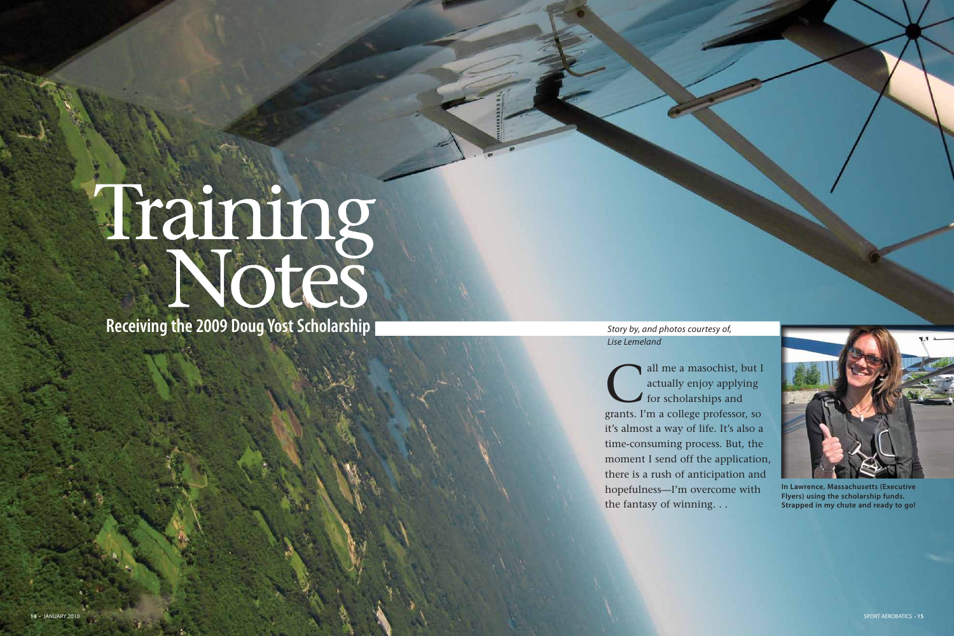all me a masochist, but I<br>actually enjoy applying<br>for scholarships and actually enjoy applying for scholarships and grants. I'm a college professor, so it's almost a way of life. It's also a time-consuming process. But, the moment I send off the application, there is a rush of anticipation and hopefulness—I'm overcome with the fantasy of winning. . .



# Training Seceiving the 2009 Doug Yost Scholarship

Story by, and photos courtesy of, Lise Lemeland



**In Lawrence, Massachusetts (Executive Flyers) using the scholarship funds. Strapped in my chute and ready to go!**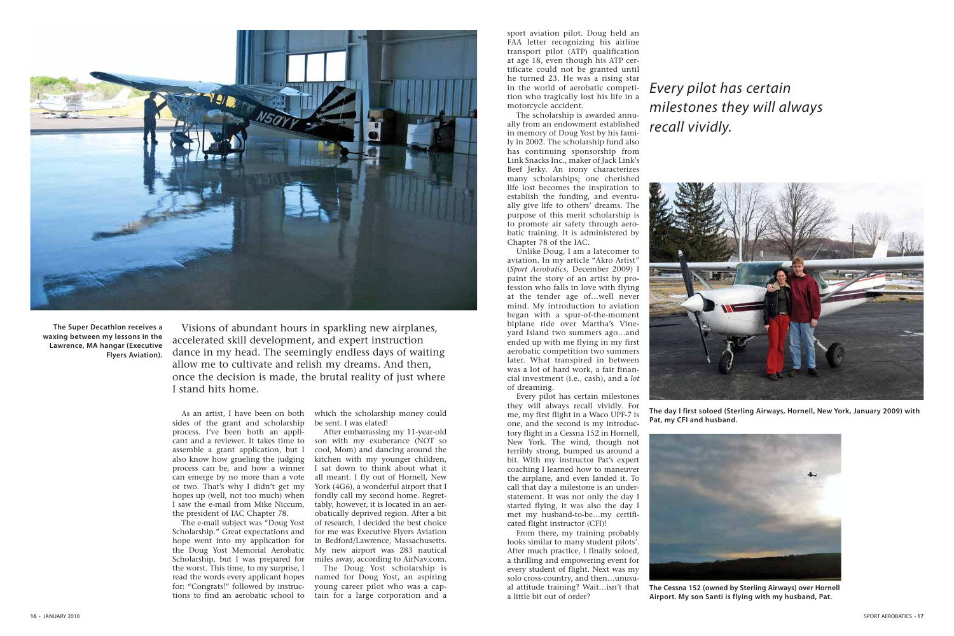As an artist, I have been on both sides of the grant and scholarship process. I've been both an applicant and a reviewer. It takes time to assemble a grant application, but I also know how grueling the judging process can be, and how a winner can emerge by no more than a vote or two. That's why I didn't get my hopes up (well, not too much) when I saw the e-mail from Mike Niccum, the president of IAC Chapter 78.

The e-mail subject was "Doug Yost Scholarship." Great expectations and hope went into my application for the Doug Yost Memorial Aerobatic Scholarship, but I was prepared for the worst. This time, to my surprise, I read the words every applicant hopes for: "Congrats!" followed by instructions to find an aerobatic school to

which the scholarship money could be sent. I was elated!

After embarrassing my 11-year-old son with my exuberance (NOT so cool, Mom) and dancing around the kitchen with my younger children, I sat down to think about what it all meant. I fly out of Hornell, New York (4G6), a wonderful airport that I fondly call my second home. Regrettably, however, it is located in an aerobatically deprived region. After a bit of research, I decided the best choice for me was Executive Flyers Aviation in Bedford/Lawrence, Massachusetts. My new airport was 283 nautical miles away, according to AirNav.com.

The Doug Yost scholarship is named for Doug Yost, an aspiring young career pilot who was a captain for a large corporation and a

sport aviation pilot. Doug held an FAA letter recognizing his airline transport pilot (ATP) qualification at age 18, even though his ATP certificate could not be granted until he turned 23. He was a rising star in the world of aerobatic competition who tragically lost his life in a motorcycle accident.

The scholarship is awarded annually from an endowment established in memory of Doug Yost by his family in 2002. The scholarship fund also has continuing sponsorship from Link Snacks Inc., maker of Jack Link's Beef Jerky. An irony characterizes many scholarships; one cherished life lost becomes the inspiration to establish the funding, and eventually give life to others' dreams. The purpose of this merit scholarship is to promote air safety through aerobatic training. It is administered by Chapter 78 of the IAC.

Unlike Doug, I am a latecomer to aviation. In my article "Akro Artist" (*Sport Aerobatics*, December 2009) I paint the story of an artist by profession who falls in love with flying at the tender age of…well never mind. My introduction to aviation began with a spur-of-the-moment biplane ride over Martha's Vineyard Island two summers ago…and ended up with me flying in my first aerobatic competition two summers later. What transpired in between was a lot of hard work, a fair financial investment (i.e., cash), and a *lot*  of dreaming.

Every pilot has certain milestones they will always recall vividly. For me, my first flight in a Waco UPF-7 is one, and the second is my introductory flight in a Cessna 152 in Hornell, New York. The wind, though not terribly strong, bumped us around a bit. With my instructor Pat's expert coaching I learned how to maneuver the airplane, and even landed it. To call that day a milestone is an understatement. It was not only the day I started flying, it was also the day I met my husband-to-be…my certificated flight instructor (CFI)!

From there, my training probably looks similar to many student pilots'. After much practice, I finally soloed, a thrilling and empowering event for every student of flight. Next was my solo cross-country, and then…unusual attitude training? Wait…isn't that a little bit out of order?

Visions of abundant hours in sparkling new airplanes, accelerated skill development, and expert instruction dance in my head. The seemingly endless days of waiting allow me to cultivate and relish my dreams. And then, once the decision is made, the brutal reality of just where I stand hits home.

# Every pilot has certain milestones they will always recall vividly.



**The Super Decathlon receives a waxing between my lessons in the Lawrence, MA hangar (Executive Flyers Aviation).**

**The day I first soloed (Sterling Airways, Hornell, New York, January 2009) with** 



**Pat, my CFI and husband.**



**The Cessna 152 (owned by Sterling Airways) over Hornell Airport. My son Santi is flying with my husband, Pat.**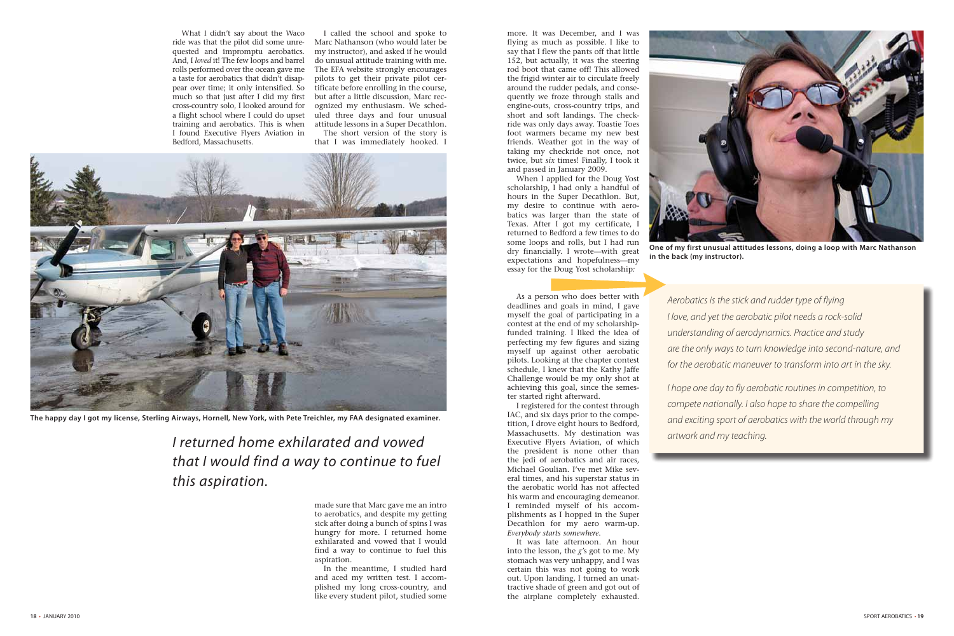What I didn't say about the Waco ride was that the pilot did some unrequested and impromptu aerobatics. And, I *loved* it! The few loops and barrel rolls performed over the ocean gave me a taste for aerobatics that didn't disappear over time; it only intensified. So much so that just after I did my first cross-country solo, I looked around for a flight school where I could do upset training and aerobatics. This is when I found Executive Flyers Aviation in Bedford, Massachusetts.

I called the school and spoke to Marc Nathanson (who would later be my instructor), and asked if he would do unusual attitude training with me. The EFA website strongly encourages pilots to get their private pilot certificate before enrolling in the course, but after a little discussion, Marc recognized my enthusiasm. We scheduled three days and four unusual attitude lessons in a Super Decathlon. The short version of the story is

that I was immediately hooked. I

more. It was December, and I was flying as much as possible. I like to say that I flew the pants off that little 152, but actually, it was the steering rod boot that came off! This allowed the frigid winter air to circulate freely around the rudder pedals, and consequently we froze through stalls and engine-outs, cross-country trips, and short and soft landings. The checkride was only days away. Toastie Toes foot warmers became my new best friends. Weather got in the way of taking my checkride not once, not twice, but *six* times! Finally, I took it and passed in January 2009.

When I applied for the Doug Yost scholarship, I had only a handful of hours in the Super Decathlon. But, my desire to continue with aerobatics was larger than the state of Texas. After I got my certificate, I returned to Bedford a few times to do some loops and rolls, but I had run dry financially. I wrote—with great expectations and hopefulness—my essay for the Doug Yost scholarship*:*

As a person who does better with deadlines and goals in mind, I gave myself the goal of participating in a contest at the end of my scholarshipfunded training. I liked the idea of perfecting my few figures and sizing myself up against other aerobatic pilots. Looking at the chapter contest schedule, I knew that the Kathy Jaffe Challenge would be my only shot at achieving this goal, since the semester started right afterward.

I registered for the contest through IAC, and six days prior to the competition, I drove eight hours to Bedford, Massachusetts. My destination was Executive Flyers Aviation, of which the president is none other than the jedi of aerobatics and air races, Michael Goulian. I've met Mike several times, and his superstar status in the aerobatic world has not affected his warm and encouraging demeanor. I reminded myself of his accomplishments as I hopped in the Super Decathlon for my aero warm-up. *Everybody starts somewhere*.

It was late afternoon. An hour into the lesson, the *g'*s got to me. My stomach was very unhappy, and I was certain this was not going to work out. Upon landing, I turned an unattractive shade of green and got out of the airplane completely exhausted.

made sure that Marc gave me an intro to aerobatics, and despite my getting sick after doing a bunch of spins I was hungry for more. I returned home exhilarated and vowed that I would find a way to continue to fuel this aspiration.

In the meantime, I studied hard and aced my written test. I accomplished my long cross-country, and like every student pilot, studied some

I returned home exhilarated and vowed that I would find a way to continue to fuel this aspiration.

Aerobatics is the stick and rudder type of flying I love, and yet the aerobatic pilot needs a rock-solid understanding of aerodynamics. Practice and study are the only ways to turn knowledge into second-nature, and for the aerobatic maneuver to transform into art in the sky.

I hope one day to fly aerobatic routines in competition, to compete nationally. I also hope to share the compelling and exciting sport of aerobatics with the world through my

artwork and my teaching.



**The happy day I got my license, Sterling Airways, Hornell, New York, with Pete Treichler, my FAA designated examiner.**

**One of my first unusual attitudes lessons, doing a loop with Marc Nathanson** 



**in the back (my instructor).**